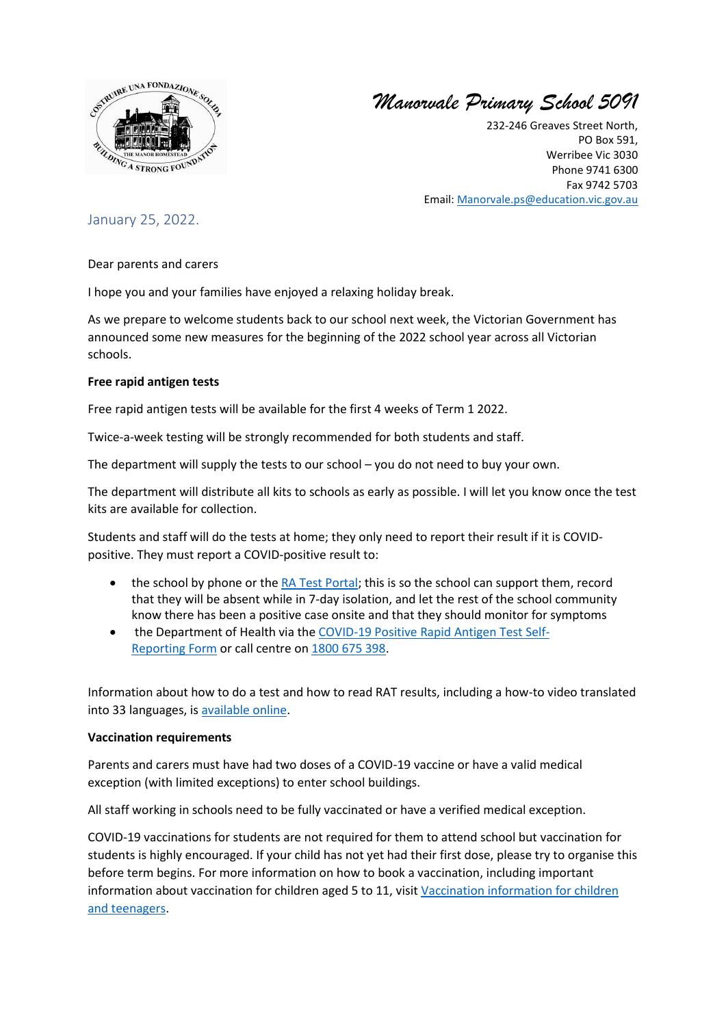

*Manorvale Primary School 5091*

232-246 Greaves Street North, PO Box 591, Werribee Vic 3030 Phone 9741 6300 Fax 9742 5703 Email: [Manorvale.ps@education.vic.gov.au](mailto:Manorvale.ps@education.vic.gov.au)

# January 25, 2022.

Dear parents and carers

I hope you and your families have enjoyed a relaxing holiday break.

As we prepare to welcome students back to our school next week, the Victorian Government has announced some new measures for the beginning of the 2022 school year across all Victorian schools.

# **Free rapid antigen tests**

Free rapid antigen tests will be available for the first 4 weeks of Term 1 2022.

Twice-a-week testing will be strongly recommended for both students and staff.

The department will supply the tests to our school – you do not need to buy your own.

The department will distribute all kits to schools as early as possible. I will let you know once the test kits are available for collection.

Students and staff will do the tests at home; they only need to report their result if it is COVIDpositive. They must report a COVID-positive result to:

- the school by phone or th[e RA Test Portal;](https://covidtest.educationapps.vic.gov.au/) this is so the school can support them, record that they will be absent while in 7-day isolation, and let the rest of the school community know there has been a positive case onsite and that they should monitor for symptoms
- the Department of Health via the [COVID-19 Positive Rapid Antigen Test Self-](https://dhvicgovau.powerappsportals.com/rapid-antigen-test/)[Reporting](https://dhvicgovau.powerappsportals.com/rapid-antigen-test/) Form or call centre on [1800 675 398.](tel:1800675398)

Information about how to do a test and how to read RAT results, including a how-to video translated into 33 languages, is [available online.](https://www.coronavirus.vic.gov.au/rapid-antigen-testing-schools)

# **Vaccination requirements**

Parents and carers must have had two doses of a COVID-19 vaccine or have a valid medical exception (with limited exceptions) to enter school buildings.

All staff working in schools need to be fully vaccinated or have a verified medical exception.

COVID-19 vaccinations for students are not required for them to attend school but vaccination for students is highly encouraged. If your child has not yet had their first dose, please try to organise this before term begins. For more information on how to book a vaccination, including important information about vaccination for children aged 5 to 11, visit [Vaccination information for children](https://www.coronavirus.vic.gov.au/vaccination-information-children-and-teenagers)  [and teenagers.](https://www.coronavirus.vic.gov.au/vaccination-information-children-and-teenagers)